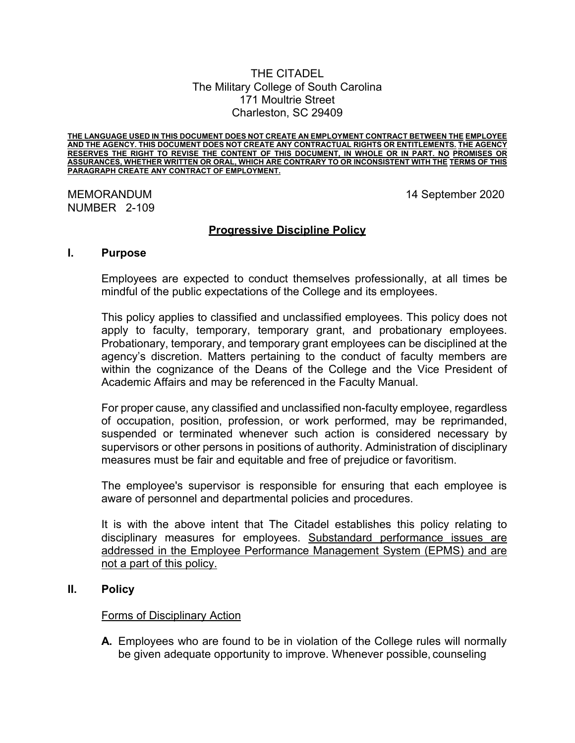#### THE CITADEL The Military College of South Carolina 171 Moultrie Street Charleston, SC 29409

**THE LANGUAGE USED IN THIS DOCUMENT DOES NOT CREATE AN EMPLOYMENT CONTRACT BETWEEN THE EMPLOYEE AND THE AGENCY. THIS DOCUMENT DOES NOT CREATE ANY CONTRACTUAL RIGHTS OR ENTITLEMENTS. THE AGENCY RESERVES THE RIGHT TO REVISE THE CONTENT OF THIS DOCUMENT, IN WHOLE OR IN PART. NO PROMISES OR ASSURANCES, WHETHER WRITTEN OR ORAL, WHICH ARE CONTRARY TO OR INCONSISTENT WITH THE TERMS OF THIS PARAGRAPH CREATE ANY CONTRACT OF EMPLOYMENT.**

# NUMBER 2-109

MEMORANDUM 14 September 2020

## **Progressive Discipline Policy**

#### **I. Purpose**

Employees are expected to conduct themselves professionally, at all times be mindful of the public expectations of the College and its employees.

This policy applies to classified and unclassified employees. This policy does not apply to faculty, temporary, temporary grant, and probationary employees. Probationary, temporary, and temporary grant employees can be disciplined at the agency's discretion. Matters pertaining to the conduct of faculty members are within the cognizance of the Deans of the College and the Vice President of Academic Affairs and may be referenced in the Faculty Manual.

For proper cause, any classified and unclassified non-faculty employee, regardless of occupation, position, profession, or work performed, may be reprimanded, suspended or terminated whenever such action is considered necessary by supervisors or other persons in positions of authority. Administration of disciplinary measures must be fair and equitable and free of prejudice or favoritism.

The employee's supervisor is responsible for ensuring that each employee is aware of personnel and departmental policies and procedures.

It is with the above intent that The Citadel establishes this policy relating to disciplinary measures for employees. Substandard performance issues are addressed in the Employee Performance Management System (EPMS) and are not a part of this policy.

## **II. Policy**

#### Forms of Disciplinary Action

**A.** Employees who are found to be in violation of the College rules will normally be given adequate opportunity to improve. Whenever possible, counseling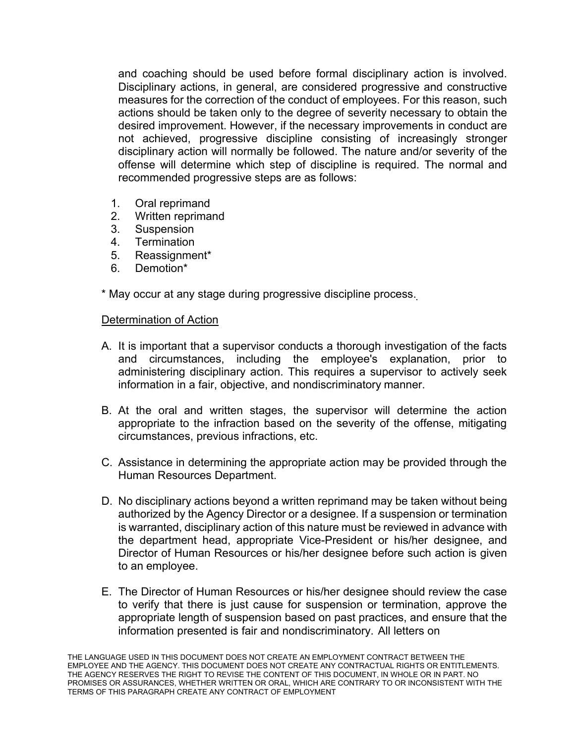and coaching should be used before formal disciplinary action is involved. Disciplinary actions, in general, are considered progressive and constructive measures for the correction of the conduct of employees. For this reason, such actions should be taken only to the degree of severity necessary to obtain the desired improvement. However, if the necessary improvements in conduct are not achieved, progressive discipline consisting of increasingly stronger disciplinary action will normally be followed. The nature and/or severity of the offense will determine which step of discipline is required. The normal and recommended progressive steps are as follows:

- 1. Oral reprimand
- 2. Written reprimand
- 3. Suspension
- 4. Termination
- 5. Reassignment\*
- 6. Demotion\*

\* May occur at any stage during progressive discipline process.

## Determination of Action

- A. It is important that a supervisor conducts a thorough investigation of the facts and circumstances, including the employee's explanation, prior to administering disciplinary action. This requires a supervisor to actively seek information in a fair, objective, and nondiscriminatory manner.
- B. At the oral and written stages, the supervisor will determine the action appropriate to the infraction based on the severity of the offense, mitigating circumstances, previous infractions, etc.
- C. Assistance in determining the appropriate action may be provided through the Human Resources Department.
- D. No disciplinary actions beyond a written reprimand may be taken without being authorized by the Agency Director or a designee. If a suspension or termination is warranted, disciplinary action of this nature must be reviewed in advance with the department head, appropriate Vice-President or his/her designee, and Director of Human Resources or his/her designee before such action is given to an employee.
- E. The Director of Human Resources or his/her designee should review the case to verify that there is just cause for suspension or termination, approve the appropriate length of suspension based on past practices, and ensure that the information presented is fair and nondiscriminatory. All letters on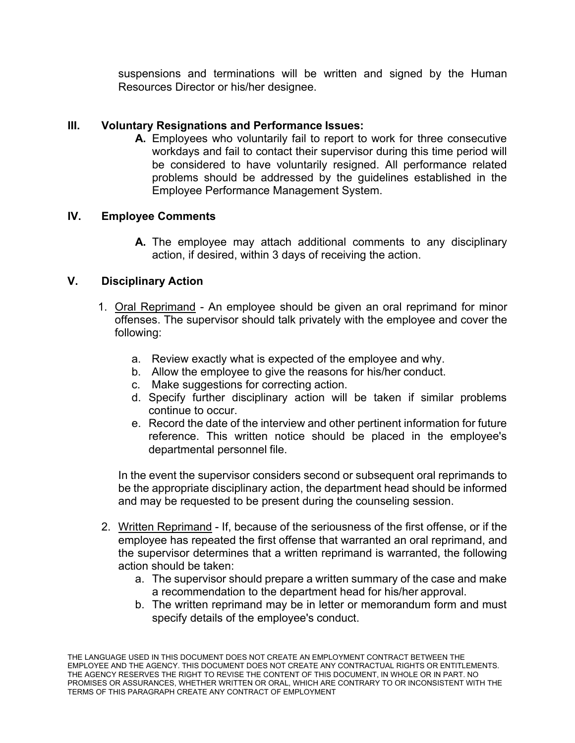suspensions and terminations will be written and signed by the Human Resources Director or his/her designee.

# **III. Voluntary Resignations and Performance Issues:**

**A.** Employees who voluntarily fail to report to work for three consecutive workdays and fail to contact their supervisor during this time period will be considered to have voluntarily resigned. All performance related problems should be addressed by the guidelines established in the Employee Performance Management System.

# **IV. Employee Comments**

**A.** The employee may attach additional comments to any disciplinary action, if desired, within 3 days of receiving the action.

# **V. Disciplinary Action**

- 1. Oral Reprimand An employee should be given an oral reprimand for minor offenses. The supervisor should talk privately with the employee and cover the following:
	- a. Review exactly what is expected of the employee and why.
	- b. Allow the employee to give the reasons for his/her conduct.
	- c. Make suggestions for correcting action.
	- d. Specify further disciplinary action will be taken if similar problems continue to occur.
	- e. Record the date of the interview and other pertinent information for future reference. This written notice should be placed in the employee's departmental personnel file.

In the event the supervisor considers second or subsequent oral reprimands to be the appropriate disciplinary action, the department head should be informed and may be requested to be present during the counseling session.

- 2. Written Reprimand If, because of the seriousness of the first offense, or if the employee has repeated the first offense that warranted an oral reprimand, and the supervisor determines that a written reprimand is warranted, the following action should be taken:
	- a. The supervisor should prepare a written summary of the case and make a recommendation to the department head for his/her approval.
	- b. The written reprimand may be in letter or memorandum form and must specify details of the employee's conduct.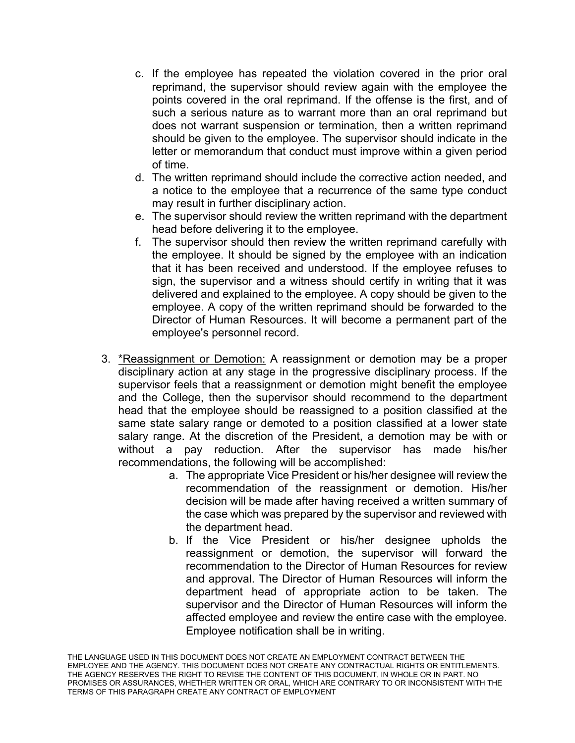- c. If the employee has repeated the violation covered in the prior oral reprimand, the supervisor should review again with the employee the points covered in the oral reprimand. If the offense is the first, and of such a serious nature as to warrant more than an oral reprimand but does not warrant suspension or termination, then a written reprimand should be given to the employee. The supervisor should indicate in the letter or memorandum that conduct must improve within a given period of time.
- d. The written reprimand should include the corrective action needed, and a notice to the employee that a recurrence of the same type conduct may result in further disciplinary action.
- e. The supervisor should review the written reprimand with the department head before delivering it to the employee.
- f. The supervisor should then review the written reprimand carefully with the employee. It should be signed by the employee with an indication that it has been received and understood. If the employee refuses to sign, the supervisor and a witness should certify in writing that it was delivered and explained to the employee. A copy should be given to the employee. A copy of the written reprimand should be forwarded to the Director of Human Resources. It will become a permanent part of the employee's personnel record.
- 3. \*Reassignment or Demotion: A reassignment or demotion may be a proper disciplinary action at any stage in the progressive disciplinary process. If the supervisor feels that a reassignment or demotion might benefit the employee and the College, then the supervisor should recommend to the department head that the employee should be reassigned to a position classified at the same state salary range or demoted to a position classified at a lower state salary range. At the discretion of the President, a demotion may be with or without a pay reduction. After the supervisor has made his/her recommendations, the following will be accomplished:
	- a. The appropriate Vice President or his/her designee will review the recommendation of the reassignment or demotion. His/her decision will be made after having received a written summary of the case which was prepared by the supervisor and reviewed with the department head.
	- b. If the Vice President or his/her designee upholds the reassignment or demotion, the supervisor will forward the recommendation to the Director of Human Resources for review and approval. The Director of Human Resources will inform the department head of appropriate action to be taken. The supervisor and the Director of Human Resources will inform the affected employee and review the entire case with the employee. Employee notification shall be in writing.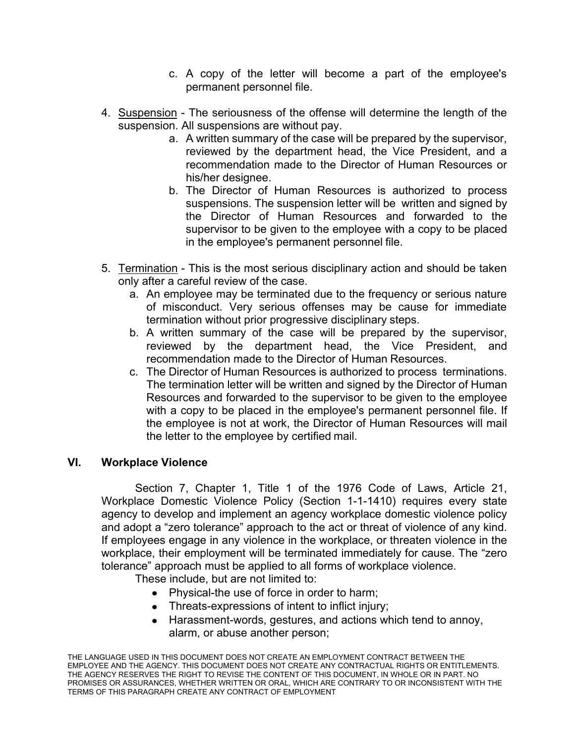- c. A copy of the letter will become a part of the employee's permanent personnel file.
- 4. Suspension The seriousness of the offense will determine the length of the suspension. All suspensions are without pay.
	- a. A written summary of the case will be prepared by the supervisor, reviewed by the department head, the Vice President, and a recommendation made to the Director of Human Resources or his/her designee.
	- b. The Director of Human Resources is authorized to process suspensions. The suspension letter will be written and signed by the Director of Human Resources and forwarded to the supervisor to be given to the employee with a copy to be placed in the employee's permanent personnel file.
- 5. Termination This is the most serious disciplinary action and should be taken only after a careful review of the case.
	- a. An employee may be terminated due to the frequency or serious nature of misconduct. Very serious offenses may be cause for immediate termination without prior progressive disciplinary steps.
	- b. A written summary of the case will be prepared by the supervisor, reviewed by the department head, the Vice President, and recommendation made to the Director of Human Resources.
	- c. The Director of Human Resources is authorized to process terminations. The termination letter will be written and signed by the Director of Human Resources and forwarded to the supervisor to be given to the employee with a copy to be placed in the employee's permanent personnel file. If the employee is not at work, the Director of Human Resources will mail the letter to the employee by certified mail.

## **VI. Workplace Violence**

Section 7, Chapter 1, Title 1 of the 1976 Code of Laws, Article 21, Workplace Domestic Violence Policy (Section 1-1-1410) requires every state agency to develop and implement an agency workplace domestic violence policy and adopt a "zero tolerance" approach to the act or threat of violence of any kind. If employees engage in any violence in the workplace, or threaten violence in the workplace, their employment will be terminated immediately for cause. The "zero tolerance" approach must be applied to all forms of workplace violence.

These include, but are not limited to:

- Physical-the use of force in order to harm;
- Threats-expressions of intent to inflict injury;
- Harassment-words, gestures, and actions which tend to annoy, alarm, or abuse another person;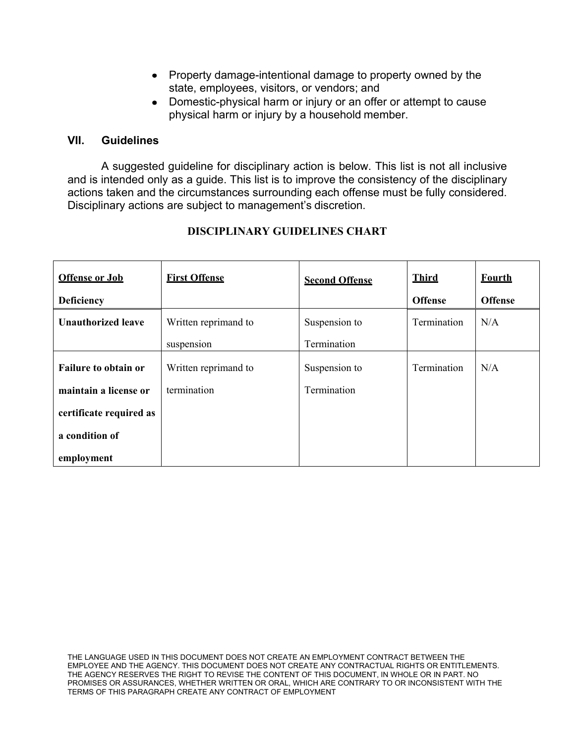- Property damage-intentional damage to property owned by the state, employees, visitors, or vendors; and
- Domestic-physical harm or injury or an offer or attempt to cause physical harm or injury by a household member.

#### **VII. Guidelines**

A suggested guideline for disciplinary action is below. This list is not all inclusive and is intended only as a guide. This list is to improve the consistency of the disciplinary actions taken and the circumstances surrounding each offense must be fully considered. Disciplinary actions are subject to management's discretion.

| <b>Offense or Job</b>       | <b>First Offense</b> | <b>Second Offense</b> | <b>Third</b>   | <b>Fourth</b>  |
|-----------------------------|----------------------|-----------------------|----------------|----------------|
| <b>Deficiency</b>           |                      |                       | <b>Offense</b> | <b>Offense</b> |
| <b>Unauthorized leave</b>   | Written reprimand to | Suspension to         | Termination    | N/A            |
|                             | suspension           | Termination           |                |                |
| <b>Failure to obtain or</b> | Written reprimand to | Suspension to         | Termination    | N/A            |
| maintain a license or       | termination          | Termination           |                |                |
| certificate required as     |                      |                       |                |                |
| a condition of              |                      |                       |                |                |
| employment                  |                      |                       |                |                |

# **DISCIPLINARY GUIDELINES CHART**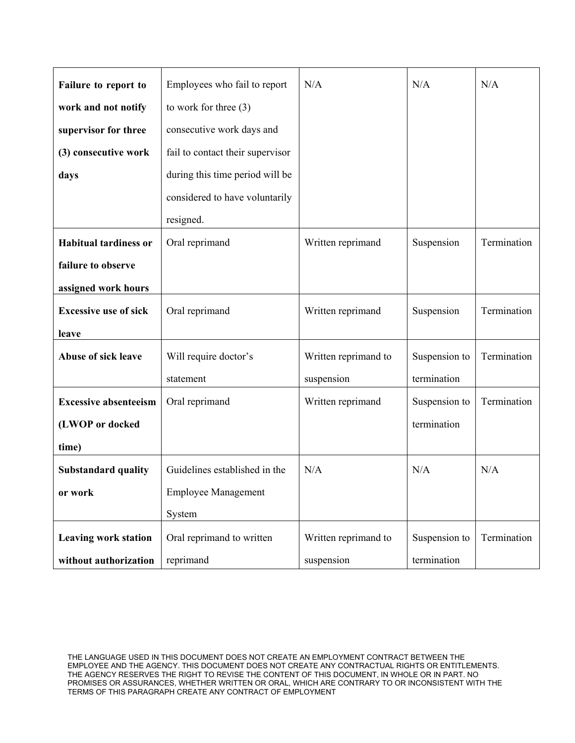| Failure to report to         | Employees who fail to report     | N/A                  | N/A           | N/A         |
|------------------------------|----------------------------------|----------------------|---------------|-------------|
| work and not notify          | to work for three $(3)$          |                      |               |             |
| supervisor for three         | consecutive work days and        |                      |               |             |
| (3) consecutive work         | fail to contact their supervisor |                      |               |             |
| days                         | during this time period will be  |                      |               |             |
|                              | considered to have voluntarily   |                      |               |             |
|                              | resigned.                        |                      |               |             |
| <b>Habitual tardiness or</b> | Oral reprimand                   | Written reprimand    | Suspension    | Termination |
| failure to observe           |                                  |                      |               |             |
| assigned work hours          |                                  |                      |               |             |
| <b>Excessive use of sick</b> | Oral reprimand                   | Written reprimand    | Suspension    | Termination |
| leave                        |                                  |                      |               |             |
| <b>Abuse of sick leave</b>   | Will require doctor's            | Written reprimand to | Suspension to | Termination |
|                              | statement                        | suspension           | termination   |             |
| <b>Excessive absenteeism</b> | Oral reprimand                   | Written reprimand    | Suspension to | Termination |
| (LWOP or docked              |                                  |                      | termination   |             |
| time)                        |                                  |                      |               |             |
| <b>Substandard quality</b>   | Guidelines established in the    | N/A                  | N/A           | N/A         |
| or work                      | <b>Employee Management</b>       |                      |               |             |
|                              | System                           |                      |               |             |
| <b>Leaving work station</b>  | Oral reprimand to written        | Written reprimand to | Suspension to | Termination |
| without authorization        | reprimand                        | suspension           | termination   |             |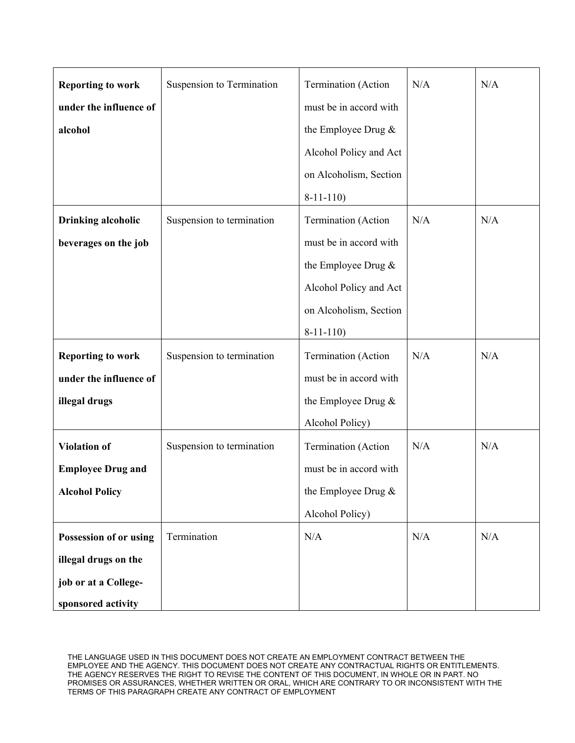| <b>Reporting to work</b>  | Suspension to Termination | Termination (Action    | N/A | N/A |
|---------------------------|---------------------------|------------------------|-----|-----|
| under the influence of    |                           | must be in accord with |     |     |
| alcohol                   |                           | the Employee Drug $&$  |     |     |
|                           |                           | Alcohol Policy and Act |     |     |
|                           |                           | on Alcoholism, Section |     |     |
|                           |                           | $8-11-110$             |     |     |
| <b>Drinking alcoholic</b> | Suspension to termination | Termination (Action    | N/A | N/A |
| beverages on the job      |                           | must be in accord with |     |     |
|                           |                           | the Employee Drug &    |     |     |
|                           |                           | Alcohol Policy and Act |     |     |
|                           |                           | on Alcoholism, Section |     |     |
|                           |                           | $8-11-110$             |     |     |
| <b>Reporting to work</b>  | Suspension to termination | Termination (Action    | N/A | N/A |
| under the influence of    |                           | must be in accord with |     |     |
| illegal drugs             |                           | the Employee Drug &    |     |     |
|                           |                           | Alcohol Policy)        |     |     |
| <b>Violation of</b>       | Suspension to termination | Termination (Action    | N/A | N/A |
| <b>Employee Drug and</b>  |                           | must be in accord with |     |     |
| <b>Alcohol Policy</b>     |                           | the Employee Drug $\&$ |     |     |
|                           |                           | Alcohol Policy)        |     |     |
| Possession of or using    | Termination               | N/A                    | N/A | N/A |
| illegal drugs on the      |                           |                        |     |     |
| job or at a College-      |                           |                        |     |     |
| sponsored activity        |                           |                        |     |     |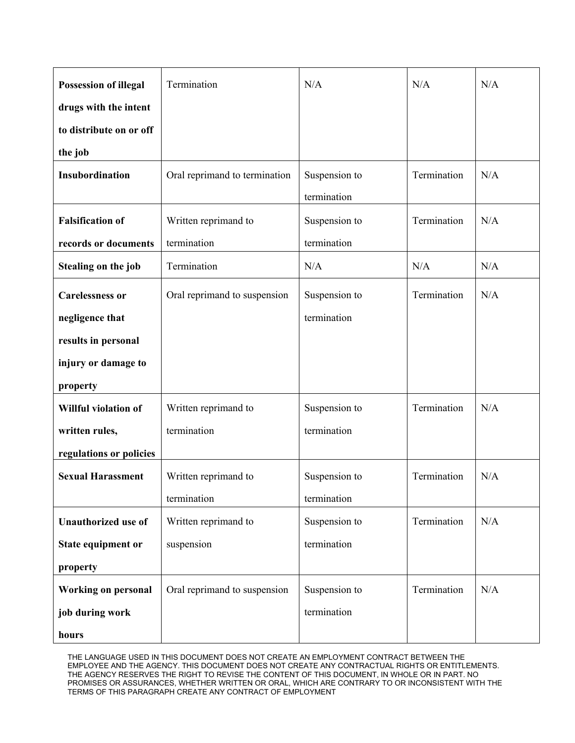| <b>Possession of illegal</b> | Termination                   | N/A           | N/A         | N/A |
|------------------------------|-------------------------------|---------------|-------------|-----|
| drugs with the intent        |                               |               |             |     |
| to distribute on or off      |                               |               |             |     |
| the job                      |                               |               |             |     |
| Insubordination              | Oral reprimand to termination | Suspension to | Termination | N/A |
|                              |                               | termination   |             |     |
| <b>Falsification of</b>      | Written reprimand to          | Suspension to | Termination | N/A |
| records or documents         | termination                   | termination   |             |     |
| Stealing on the job          | Termination                   | N/A           | N/A         | N/A |
| <b>Carelessness or</b>       | Oral reprimand to suspension  | Suspension to | Termination | N/A |
| negligence that              |                               | termination   |             |     |
| results in personal          |                               |               |             |     |
| injury or damage to          |                               |               |             |     |
| property                     |                               |               |             |     |
| Willful violation of         | Written reprimand to          | Suspension to | Termination | N/A |
| written rules,               | termination                   | termination   |             |     |
| regulations or policies      |                               |               |             |     |
| <b>Sexual Harassment</b>     | Written reprimand to          | Suspension to | Termination | N/A |
|                              | termination                   | termination   |             |     |
| <b>Unauthorized use of</b>   | Written reprimand to          | Suspension to | Termination | N/A |
| State equipment or           | suspension                    | termination   |             |     |
| property                     |                               |               |             |     |
| <b>Working on personal</b>   | Oral reprimand to suspension  | Suspension to | Termination | N/A |
| job during work              |                               | termination   |             |     |
| hours                        |                               |               |             |     |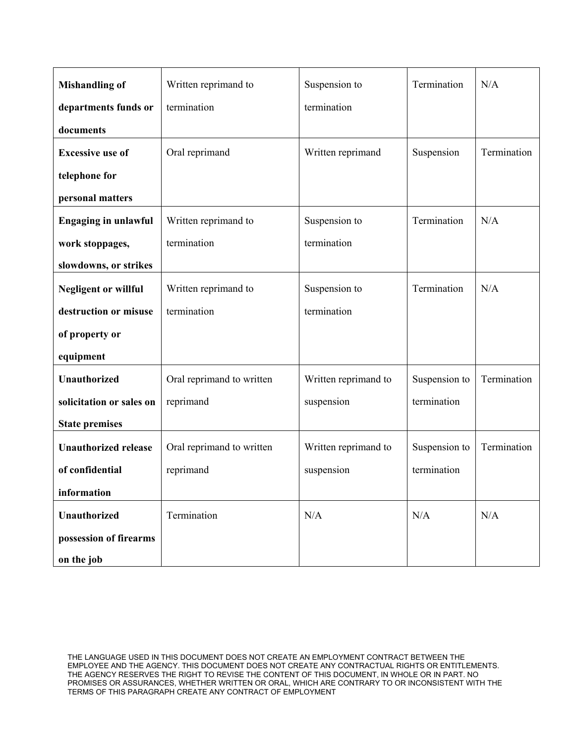| <b>Mishandling of</b>       | Written reprimand to      | Suspension to        | Termination   | N/A         |
|-----------------------------|---------------------------|----------------------|---------------|-------------|
| departments funds or        | termination               | termination          |               |             |
| documents                   |                           |                      |               |             |
| <b>Excessive use of</b>     | Oral reprimand            | Written reprimand    | Suspension    | Termination |
| telephone for               |                           |                      |               |             |
| personal matters            |                           |                      |               |             |
| <b>Engaging in unlawful</b> | Written reprimand to      | Suspension to        | Termination   | N/A         |
| work stoppages,             | termination               | termination          |               |             |
| slowdowns, or strikes       |                           |                      |               |             |
| <b>Negligent or willful</b> | Written reprimand to      | Suspension to        | Termination   | N/A         |
| destruction or misuse       | termination               | termination          |               |             |
| of property or              |                           |                      |               |             |
| equipment                   |                           |                      |               |             |
| <b>Unauthorized</b>         | Oral reprimand to written | Written reprimand to | Suspension to | Termination |
| solicitation or sales on    | reprimand                 | suspension           | termination   |             |
| <b>State premises</b>       |                           |                      |               |             |
| <b>Unauthorized release</b> | Oral reprimand to written | Written reprimand to | Suspension to | Termination |
| of confidential             | reprimand                 | suspension           | termination   |             |
| information                 |                           |                      |               |             |
| Unauthorized                | Termination               | N/A                  | N/A           | N/A         |
| possession of firearms      |                           |                      |               |             |
| on the job                  |                           |                      |               |             |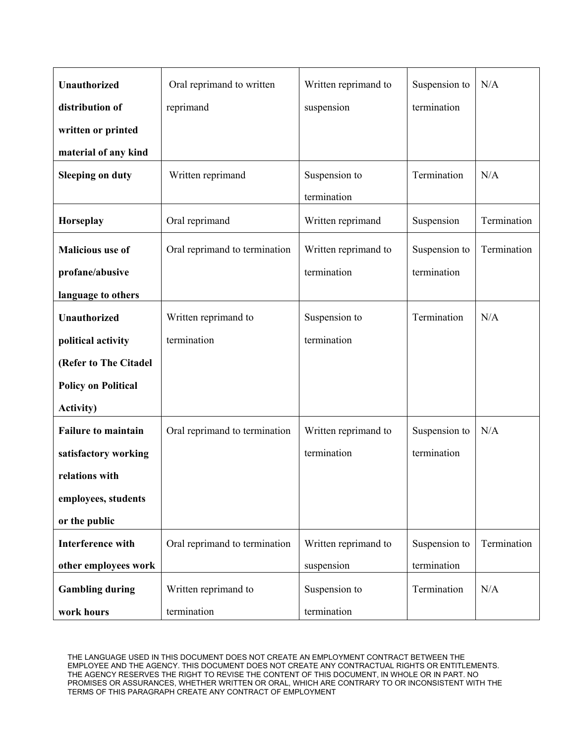| <b>Unauthorized</b>        | Oral reprimand to written     | Written reprimand to | Suspension to | N/A         |
|----------------------------|-------------------------------|----------------------|---------------|-------------|
| distribution of            | reprimand                     | suspension           | termination   |             |
| written or printed         |                               |                      |               |             |
| material of any kind       |                               |                      |               |             |
| <b>Sleeping on duty</b>    | Written reprimand             | Suspension to        | Termination   | N/A         |
|                            |                               | termination          |               |             |
| Horseplay                  | Oral reprimand                | Written reprimand    | Suspension    | Termination |
| <b>Malicious use of</b>    | Oral reprimand to termination | Written reprimand to | Suspension to | Termination |
| profane/abusive            |                               | termination          | termination   |             |
| language to others         |                               |                      |               |             |
| <b>Unauthorized</b>        | Written reprimand to          | Suspension to        | Termination   | N/A         |
| political activity         | termination                   | termination          |               |             |
| (Refer to The Citadel      |                               |                      |               |             |
| <b>Policy on Political</b> |                               |                      |               |             |
| <b>Activity)</b>           |                               |                      |               |             |
| <b>Failure to maintain</b> | Oral reprimand to termination | Written reprimand to | Suspension to | N/A         |
| satisfactory working       |                               | termination          | termination   |             |
| relations with             |                               |                      |               |             |
| employees, students        |                               |                      |               |             |
| or the public              |                               |                      |               |             |
| <b>Interference with</b>   | Oral reprimand to termination | Written reprimand to | Suspension to | Termination |
| other employees work       |                               | suspension           | termination   |             |
| <b>Gambling during</b>     | Written reprimand to          | Suspension to        | Termination   | N/A         |
| work hours                 | termination                   | termination          |               |             |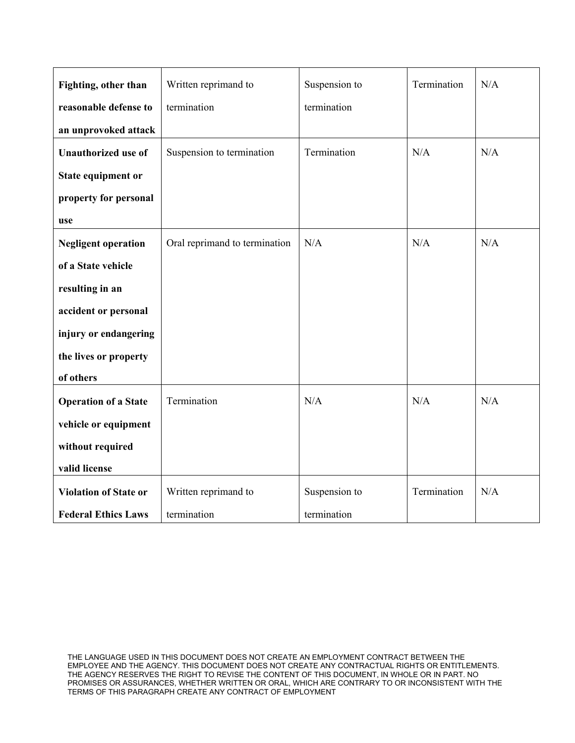| Fighting, other than         | Written reprimand to          | Suspension to | Termination | N/A |
|------------------------------|-------------------------------|---------------|-------------|-----|
| reasonable defense to        | termination                   | termination   |             |     |
| an unprovoked attack         |                               |               |             |     |
| <b>Unauthorized use of</b>   | Suspension to termination     | Termination   | N/A         | N/A |
| State equipment or           |                               |               |             |     |
| property for personal        |                               |               |             |     |
| use                          |                               |               |             |     |
| <b>Negligent operation</b>   | Oral reprimand to termination | N/A           | N/A         | N/A |
| of a State vehicle           |                               |               |             |     |
| resulting in an              |                               |               |             |     |
| accident or personal         |                               |               |             |     |
| injury or endangering        |                               |               |             |     |
| the lives or property        |                               |               |             |     |
| of others                    |                               |               |             |     |
| <b>Operation of a State</b>  | Termination                   | N/A           | N/A         | N/A |
| vehicle or equipment         |                               |               |             |     |
| without required             |                               |               |             |     |
| valid license                |                               |               |             |     |
| <b>Violation of State or</b> | Written reprimand to          | Suspension to | Termination | N/A |
| <b>Federal Ethics Laws</b>   | termination                   | termination   |             |     |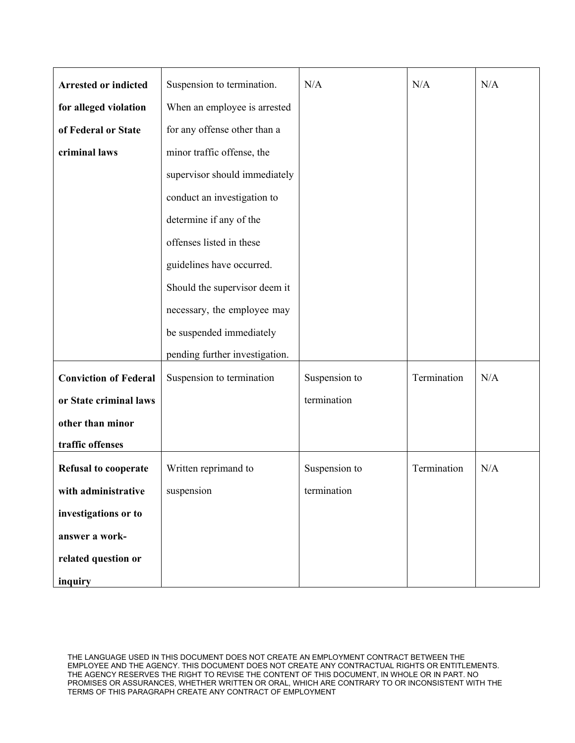| <b>Arrested or indicted</b>  | Suspension to termination.     | N/A           | N/A         | N/A |
|------------------------------|--------------------------------|---------------|-------------|-----|
| for alleged violation        | When an employee is arrested   |               |             |     |
| of Federal or State          | for any offense other than a   |               |             |     |
| criminal laws                | minor traffic offense, the     |               |             |     |
|                              | supervisor should immediately  |               |             |     |
|                              | conduct an investigation to    |               |             |     |
|                              | determine if any of the        |               |             |     |
|                              | offenses listed in these       |               |             |     |
|                              | guidelines have occurred.      |               |             |     |
|                              | Should the supervisor deem it  |               |             |     |
|                              | necessary, the employee may    |               |             |     |
|                              | be suspended immediately       |               |             |     |
|                              | pending further investigation. |               |             |     |
| <b>Conviction of Federal</b> | Suspension to termination      | Suspension to | Termination | N/A |
| or State criminal laws       |                                | termination   |             |     |
| other than minor             |                                |               |             |     |
| traffic offenses             |                                |               |             |     |
| <b>Refusal to cooperate</b>  | Written reprimand to           | Suspension to | Termination | N/A |
| with administrative          | suspension                     | termination   |             |     |
| investigations or to         |                                |               |             |     |
| answer a work-               |                                |               |             |     |
| related question or          |                                |               |             |     |
| inquiry                      |                                |               |             |     |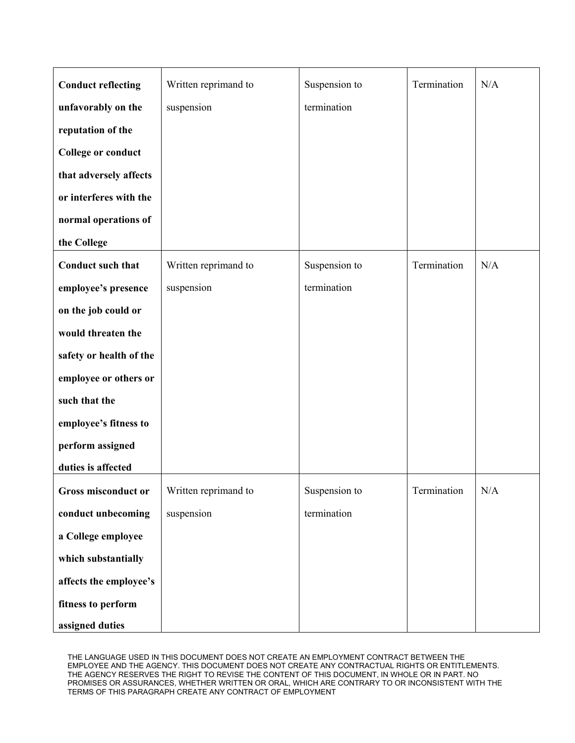| <b>Conduct reflecting</b> | Written reprimand to | Suspension to | Termination | N/A |
|---------------------------|----------------------|---------------|-------------|-----|
|                           |                      |               |             |     |
| unfavorably on the        | suspension           | termination   |             |     |
| reputation of the         |                      |               |             |     |
| <b>College or conduct</b> |                      |               |             |     |
| that adversely affects    |                      |               |             |     |
| or interferes with the    |                      |               |             |     |
| normal operations of      |                      |               |             |     |
| the College               |                      |               |             |     |
| Conduct such that         | Written reprimand to | Suspension to | Termination | N/A |
| employee's presence       | suspension           | termination   |             |     |
| on the job could or       |                      |               |             |     |
| would threaten the        |                      |               |             |     |
| safety or health of the   |                      |               |             |     |
| employee or others or     |                      |               |             |     |
| such that the             |                      |               |             |     |
| employee's fitness to     |                      |               |             |     |
| perform assigned          |                      |               |             |     |
| duties is affected        |                      |               |             |     |
| Gross misconduct or       | Written reprimand to | Suspension to | Termination | N/A |
| conduct unbecoming        | suspension           | termination   |             |     |
| a College employee        |                      |               |             |     |
| which substantially       |                      |               |             |     |
| affects the employee's    |                      |               |             |     |
| fitness to perform        |                      |               |             |     |
| assigned duties           |                      |               |             |     |